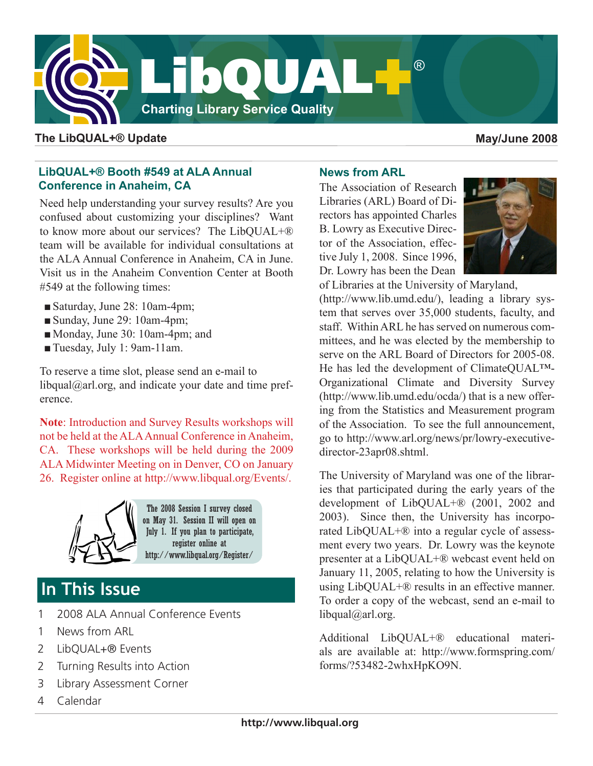

### **The LibQUAL+® Update May/June 2008**

# **LibQUAL+® Booth #549 at ALA Annual Conference in Anaheim, CA**

Need help understanding your survey results? Are you confused about customizing your disciplines? Want to know more about our services? The LibQUAL+® team will be available for individual consultations at the ALA Annual Conference in Anaheim, CA in June. Visit us in the Anaheim Convention Center at Booth #549 at the following times:

- Saturday, June 28: 10am-4pm;
- Sunday, June 29: 10am-4pm;
- ■Monday, June 30: 10am-4pm; and
- Tuesday, July 1: 9am-11am.

To reserve a time slot, please send an e-mail to libqual $@$ arl.org, and indicate your date and time preference.

**Note**: Introduction and Survey Results workshops will not be held at the ALA Annual Conference in Anaheim, CA. These workshops will be held during the 2009 ALA Midwinter Meeting on in Denver, CO on January 26. Register online at [http://www.libqual.org/Events/.](http://old.libqual.org/Events/index.cfm)



The 2008 Session I survey closed on May 31. Session II will open on July 1. If you plan to participate, register online at [http://www.libqual.org/Register/](http://old.libqual.org/Register/index.cfm)

# **In This Issue**

- 1 2008 ALA Annual Conference Events
- 1 News from ARL
- 2 LibQUAL+® Events
- 2 Turning Results into Action
- 3 Library Assessment Corner
- 4 Calendar

# **News from ARL**

The Association of Research Libraries (ARL) Board of Directors has appointed Charles B. Lowry as Executive Director of the Association, effective July 1, 2008. Since 1996, Dr. Lowry has been the Dean



of Libraries at the University of Maryland,

(<http://www.lib.umd.edu/>), leading a library system that serves over 35,000 students, faculty, and staff. Within ARL he has served on numerous committees, and he was elected by the membership to serve on the ARL Board of Directors for 2005-08. He has led the development of ClimateQUAL™- Organizational Climate and Diversity Survey (<http://www.lib.umd.edu/ocda/>) that is a new offering from the Statistics and Measurement program of the Association. To see the full announcement, go to [http://www.arl.org/news/pr/lowry-executive](http://www.arl.org/news/pr/lowry-executive-director-23apr08.shtml)[director-23apr08.shtml.](http://www.arl.org/news/pr/lowry-executive-director-23apr08.shtml)

The University of Maryland was one of the libraries that participated during the early years of the development of LibQUAL+® (2001, 2002 and 2003). Since then, the University has incorporated LibQUAL+® into a regular cycle of assessment every two years. Dr. Lowry was the keynote presenter at a LibQUAL+® webcast event held on January 11, 2005, relating to how the University is using LibQUAL+® results in an effective manner. To order a copy of the webcast, send an e-mail to [libqual@arl.org.](mailto:libqual@arl.org)

Additional LibQUAL+® educational materials are available at: [http://www.formspring.com/](http://www.formspring.com/forms/?53482-2whxHpKO9N) [forms/?53482-2whxHpKO9N.](http://www.formspring.com/forms/?53482-2whxHpKO9N)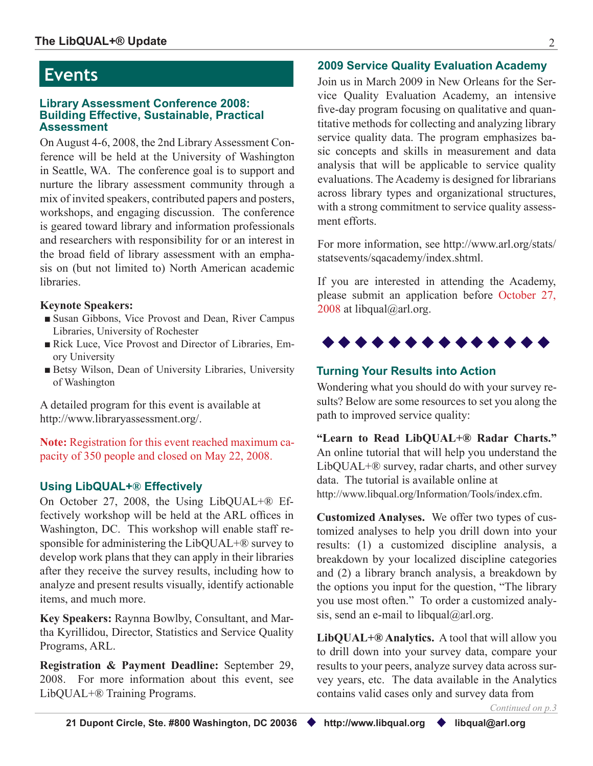#### **Library Assessment Conference 2008: Building Effective, Sustainable, Practical Assessment**

On August 4-6, 2008, the 2nd Library Assessment Conference will be held at the University of Washington in Seattle, WA. The conference goal is to support and nurture the library assessment community through a mix of invited speakers, contributed papers and posters, workshops, and engaging discussion. The conference is geared toward library and information professionals and researchers with responsibility for or an interest in the broad field of library assessment with an emphasis on (but not limited to) North American academic **libraries** 

## **Keynote Speakers:**

- Susan Gibbons, Vice Provost and Dean, River Campus Libraries, University of Rochester
- Rick Luce, Vice Provost and Director of Libraries, Emory University
- Betsy Wilson, Dean of University Libraries, University of Washington

A detailed program for this event is available at [http://www.libraryassessment.org/.](http://www.libraryassessment.org/)

**Note:** Registration for this event reached maximum capacity of 350 people and closed on May 22, 2008.

# **Using LibQUAL+® Effectively**

On October 27, 2008, the Using LibQUAL+® Effectively workshop will be held at the ARL offices in Washington, DC. This workshop will enable staff responsible for administering the LibQUAL+® survey to develop work plans that they can apply in their libraries after they receive the survey results, including how to analyze and present results visually, identify actionable items, and much more.

**Key Speakers:** Raynna Bowlby, Consultant, and Martha Kyrillidou, Director, Statistics and Service Quality Programs, ARL.

**Registration & Payment Deadline:** September 29, 2008. For more information about this event, see LibQUAL+® Training Programs.

# **2009 Service Quality Evaluation Academy Events**

Join us in March 2009 in New Orleans for the Service Quality Evaluation Academy, an intensive five-day program focusing on qualitative and quantitative methods for collecting and analyzing library service quality data. The program emphasizes basic concepts and skills in measurement and data analysis that will be applicable to service quality evaluations. The Academy is designed for librarians across library types and organizational structures, with a strong commitment to service quality assessment efforts.

For more information, see [http://www.arl.org/stats/](http://www.arl.org/stats/statsevents/sqacademy/index.shtml) [statsevents/sqacademy/index.shtml](http://www.arl.org/stats/statsevents/sqacademy/index.shtml).

If you are interested in attending the Academy, please submit an application before October 27, 2008 at [libqual@arl.org](mailto:libqual@arl.org).



# **Turning Your Results into Action**

Wondering what you should do with your survey results? Below are some resources to set you along the path to improved service quality:

**"Learn to Read LibQUAL+® Radar Charts."**  An online tutorial that will help you understand the LibQUAL+® survey, radar charts, and other survey data. The tutorial is available online at [http://www.libqual.org/Information/Tools/index.cfm](http://old.libqual.org/Information/Tools/index.cfm).

**Customized Analyses.** We offer two types of customized analyses to help you drill down into your results: (1) a customized discipline analysis, a breakdown by your localized discipline categories and (2) a library branch analysis, a breakdown by the options you input for the question, "The library you use most often." To order a customized analysis, send an e-mail to [libqual@arl.org.](mailto:libqual@arl.org)

**LibQUAL+® Analytics.** A tool that will allow you to drill down into your survey data, compare your results to your peers, analyze survey data across survey years, etc. The data available in the Analytics contains valid cases only and survey data from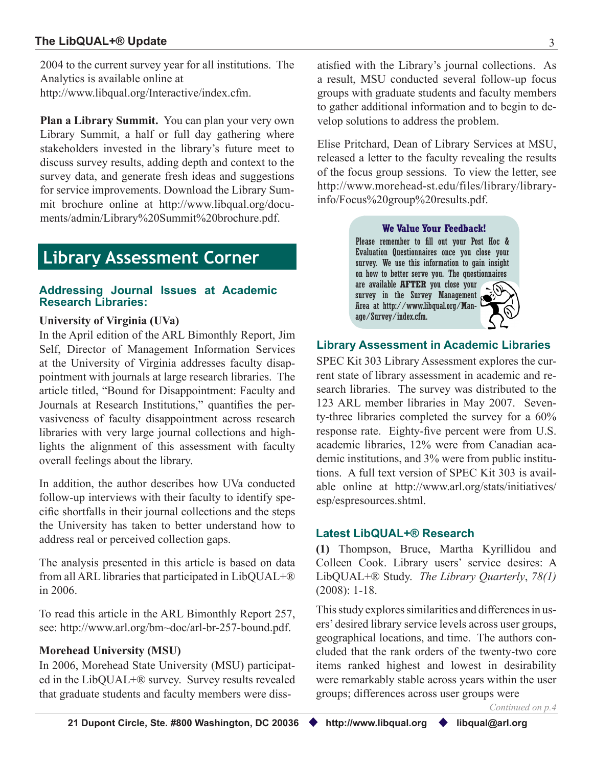### <span id="page-2-0"></span>**The LibQUAL+® Update** 3

2004 to the current survey year for all institutions. The Analytics is available online at [http://www.libqual.org/Interactive/index.cfm.](http://old.libqual.org/Interactive/index.cfm)

**Plan a Library Summit.** You can plan your very own Library Summit, a half or full day gathering where stakeholders invested in the library's future meet to discuss survey results, adding depth and context to the survey data, and generate fresh ideas and suggestions for service improvements. Download the Library Summit brochure online at [http://www.libqual.org/docu](http://old.libqual.org/documents/admin/Library%20Summit%20brochure.pdf)[ments/admin/Library%20Summit%20brochure.pdf](http://old.libqual.org/documents/admin/Library%20Summit%20brochure.pdf).

# **Library Assessment Corner**

#### **Addressing Journal Issues at Academic Research Libraries:**

#### **University of Virginia (UVa)**

In the April edition of the ARL Bimonthly Report, Jim Self, Director of Management Information Services at the University of Virginia addresses faculty disappointment with journals at large research libraries. The article titled, "Bound for Disappointment: Faculty and Journals at Research Institutions," quantifies the pervasiveness of faculty disappointment across research libraries with very large journal collections and highlights the alignment of this assessment with faculty overall feelings about the library.

In addition, the author describes how UVa conducted follow-up interviews with their faculty to identify specific shortfalls in their journal collections and the steps the University has taken to better understand how to address real or perceived collection gaps.

The analysis presented in this article is based on data from all ARL libraries that participated in LibQUAL+® in 2006.

To read this article in the ARL Bimonthly Report 257, see: [http://www.arl.org/bm~doc/arl-br-257-bound.pdf.](http://www.arl.org/bm~doc/arl-br-257-bound.pdf)

#### **Morehead University (MSU)**

In 2006, Morehead State University (MSU) participated in the LibQUAL+® survey. Survey results revealed that graduate students and faculty members were dissatisfied with the Library's journal collections. As a result, MSU conducted several follow-up focus groups with graduate students and faculty members to gather additional information and to begin to develop solutions to address the problem.

Elise Pritchard, Dean of Library Services at MSU, released a letter to the faculty revealing the results of the focus group sessions. To view the letter, see [http://www.morehead-st.edu/files/library/library](http://www.morehead-st.edu/files/library/libraryinfo/Focus%20group%20results.pdf)[info/Focus%20group%20results.pdf](http://www.morehead-st.edu/files/library/libraryinfo/Focus%20group%20results.pdf).

#### **We Value Your Feedback!**

Please remember to fill out your Post Hoc & Evaluation Questionnaires once you close your survey. We use this information to gain insight on how to better serve you. The questionnaires are available **AFTER** you close your  $\sqrt{d}$ survey in the Survey Management Area at [http://www.libqual.org/Man](http://old.libqual.org/Manage/Survey/index.cfm)[age/Survey/index.cfm.](http://old.libqual.org/Manage/Survey/index.cfm)

#### **Library Assessment in Academic Libraries**

SPEC Kit 303 Library Assessment explores the current state of library assessment in academic and research libraries. The survey was distributed to the 123 ARL member libraries in May 2007. Seventy-three libraries completed the survey for a 60% response rate. Eighty-five percent were from U.S. academic libraries, 12% were from Canadian academic institutions, and 3% were from public institutions. A full text version of SPEC Kit 303 is available online at [http://www.arl.org/stats/initiatives/](http://www.arl.org/stats/initiatives/esp/espresources.shtml) [esp/espresources.shtml](http://www.arl.org/stats/initiatives/esp/espresources.shtml).

#### **Latest LibQUAL+® Research**

**(1)** Thompson, Bruce, Martha Kyrillidou and Colleen Cook. Library users' service desires: A LibQUAL+® Study. *The Library Quarterly*, *78(1)* (2008): 1-18.

This study explores similarities and differences in users' desired library service levels across user groups, geographical locations, and time. The authors concluded that the rank orders of the twenty-two core items ranked highest and lowest in desirability were remarkably stable across years within the user groups; differences across user groups were

*Continued on p.4*